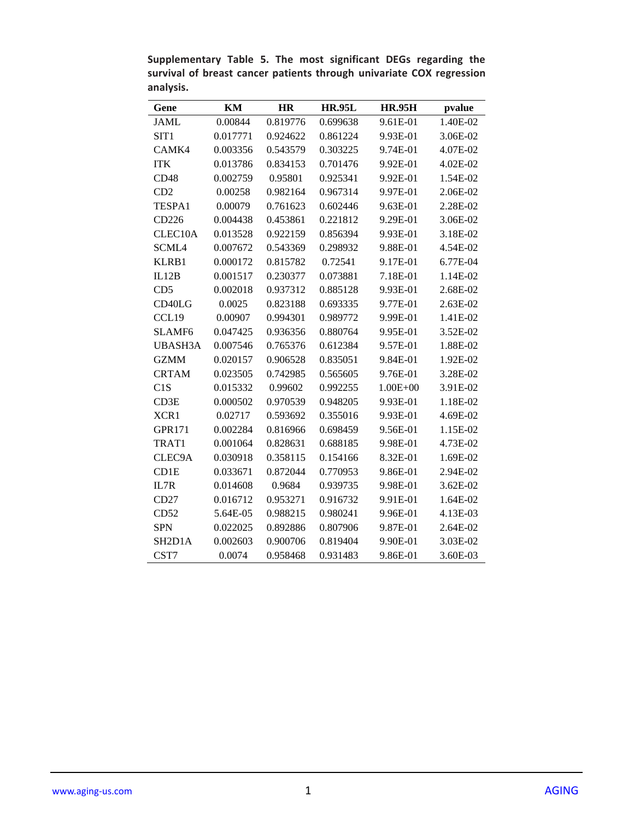| Gene                             | KM       | HR       | <b>HR.95L</b> | <b>HR.95H</b> | pvalue   |
|----------------------------------|----------|----------|---------------|---------------|----------|
| <b>JAML</b>                      | 0.00844  | 0.819776 | 0.699638      | 9.61E-01      | 1.40E-02 |
| SIT <sub>1</sub>                 | 0.017771 | 0.924622 | 0.861224      | 9.93E-01      | 3.06E-02 |
| CAMK4                            | 0.003356 | 0.543579 | 0.303225      | 9.74E-01      | 4.07E-02 |
| <b>ITK</b>                       | 0.013786 | 0.834153 | 0.701476      | 9.92E-01      | 4.02E-02 |
| CD48                             | 0.002759 | 0.95801  | 0.925341      | 9.92E-01      | 1.54E-02 |
| CD2                              | 0.00258  | 0.982164 | 0.967314      | 9.97E-01      | 2.06E-02 |
| TESPA1                           | 0.00079  | 0.761623 | 0.602446      | 9.63E-01      | 2.28E-02 |
| CD226                            | 0.004438 | 0.453861 | 0.221812      | 9.29E-01      | 3.06E-02 |
| CLEC10A                          | 0.013528 | 0.922159 | 0.856394      | 9.93E-01      | 3.18E-02 |
| SCML4                            | 0.007672 | 0.543369 | 0.298932      | 9.88E-01      | 4.54E-02 |
| KLRB1                            | 0.000172 | 0.815782 | 0.72541       | 9.17E-01      | 6.77E-04 |
| IL12B                            | 0.001517 | 0.230377 | 0.073881      | 7.18E-01      | 1.14E-02 |
| CD <sub>5</sub>                  | 0.002018 | 0.937312 | 0.885128      | 9.93E-01      | 2.68E-02 |
| CD40LG                           | 0.0025   | 0.823188 | 0.693335      | 9.77E-01      | 2.63E-02 |
| CCL19                            | 0.00907  | 0.994301 | 0.989772      | 9.99E-01      | 1.41E-02 |
| <b>SLAMF6</b>                    | 0.047425 | 0.936356 | 0.880764      | 9.95E-01      | 3.52E-02 |
| <b>UBASH3A</b>                   | 0.007546 | 0.765376 | 0.612384      | 9.57E-01      | 1.88E-02 |
| <b>GZMM</b>                      | 0.020157 | 0.906528 | 0.835051      | 9.84E-01      | 1.92E-02 |
| <b>CRTAM</b>                     | 0.023505 | 0.742985 | 0.565605      | 9.76E-01      | 3.28E-02 |
| C1S                              | 0.015332 | 0.99602  | 0.992255      | $1.00E + 00$  | 3.91E-02 |
| CD3E                             | 0.000502 | 0.970539 | 0.948205      | 9.93E-01      | 1.18E-02 |
| XCR1                             | 0.02717  | 0.593692 | 0.355016      | 9.93E-01      | 4.69E-02 |
| <b>GPR171</b>                    | 0.002284 | 0.816966 | 0.698459      | 9.56E-01      | 1.15E-02 |
| TRAT1                            | 0.001064 | 0.828631 | 0.688185      | 9.98E-01      | 4.73E-02 |
| CLEC9A                           | 0.030918 | 0.358115 | 0.154166      | 8.32E-01      | 1.69E-02 |
| CD1E                             | 0.033671 | 0.872044 | 0.770953      | 9.86E-01      | 2.94E-02 |
| IL7R                             | 0.014608 | 0.9684   | 0.939735      | 9.98E-01      | 3.62E-02 |
| CD27                             | 0.016712 | 0.953271 | 0.916732      | 9.91E-01      | 1.64E-02 |
| CD52                             | 5.64E-05 | 0.988215 | 0.980241      | 9.96E-01      | 4.13E-03 |
| <b>SPN</b>                       | 0.022025 | 0.892886 | 0.807906      | 9.87E-01      | 2.64E-02 |
| SH <sub>2</sub> D <sub>1</sub> A | 0.002603 | 0.900706 | 0.819404      | 9.90E-01      | 3.03E-02 |
| CST7                             | 0.0074   | 0.958468 | 0.931483      | 9.86E-01      | 3.60E-03 |

**Supplementary Table 5. The most significant DEGs regarding the survival of breast cancer patients through univariate COX regression analysis.**